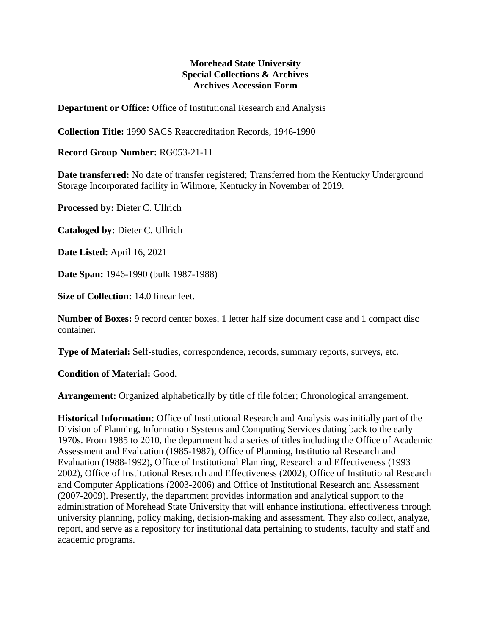## **Morehead State University Special Collections & Archives Archives Accession Form**

**Department or Office:** Office of Institutional Research and Analysis

**Collection Title:** 1990 SACS Reaccreditation Records, 1946-1990

**Record Group Number:** RG053-21-11

**Date transferred:** No date of transfer registered; Transferred from the Kentucky Underground Storage Incorporated facility in Wilmore, Kentucky in November of 2019.

**Processed by:** Dieter C. Ullrich

**Cataloged by:** Dieter C. Ullrich

**Date Listed:** April 16, 2021

**Date Span:** 1946-1990 (bulk 1987-1988)

**Size of Collection:** 14.0 linear feet.

**Number of Boxes:** 9 record center boxes, 1 letter half size document case and 1 compact disc container.

**Type of Material:** Self-studies, correspondence, records, summary reports, surveys, etc.

**Condition of Material:** Good.

**Arrangement:** Organized alphabetically by title of file folder; Chronological arrangement.

**Historical Information:** Office of Institutional Research and Analysis was initially part of the Division of Planning, Information Systems and Computing Services dating back to the early 1970s. From 1985 to 2010, the department had a series of titles including the Office of Academic Assessment and Evaluation (1985-1987), Office of Planning, Institutional Research and Evaluation (1988-1992), Office of Institutional Planning, Research and Effectiveness (1993 2002), Office of Institutional Research and Effectiveness (2002), Office of Institutional Research and Computer Applications (2003-2006) and Office of Institutional Research and Assessment (2007-2009). Presently, the department provides information and analytical support to the administration of Morehead State University that will enhance institutional effectiveness through university planning, policy making, decision-making and assessment. They also collect, analyze, report, and serve as a repository for institutional data pertaining to students, faculty and staff and academic programs.